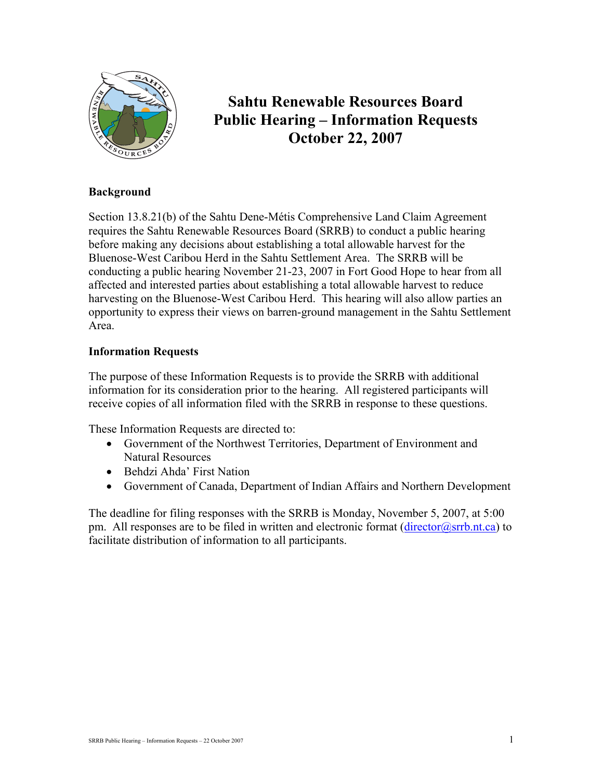

# **Sahtu Renewable Resources Board Public Hearing – Information Requests October 22, 2007**

# **Background**

Section 13.8.21(b) of the Sahtu Dene-Métis Comprehensive Land Claim Agreement requires the Sahtu Renewable Resources Board (SRRB) to conduct a public hearing before making any decisions about establishing a total allowable harvest for the Bluenose-West Caribou Herd in the Sahtu Settlement Area. The SRRB will be conducting a public hearing November 21-23, 2007 in Fort Good Hope to hear from all affected and interested parties about establishing a total allowable harvest to reduce harvesting on the Bluenose-West Caribou Herd. This hearing will also allow parties an opportunity to express their views on barren-ground management in the Sahtu Settlement Area.

# **Information Requests**

The purpose of these Information Requests is to provide the SRRB with additional information for its consideration prior to the hearing. All registered participants will receive copies of all information filed with the SRRB in response to these questions.

These Information Requests are directed to:

- Government of the Northwest Territories, Department of Environment and Natural Resources
- Behdzi Ahda' First Nation
- Government of Canada, Department of Indian Affairs and Northern Development

The deadline for filing responses with the SRRB is Monday, November 5, 2007, at 5:00 pm. All responses are to be filed in written and electronic format  $(\text{director}(a)$ srrb.nt.ca) to facilitate distribution of information to all participants.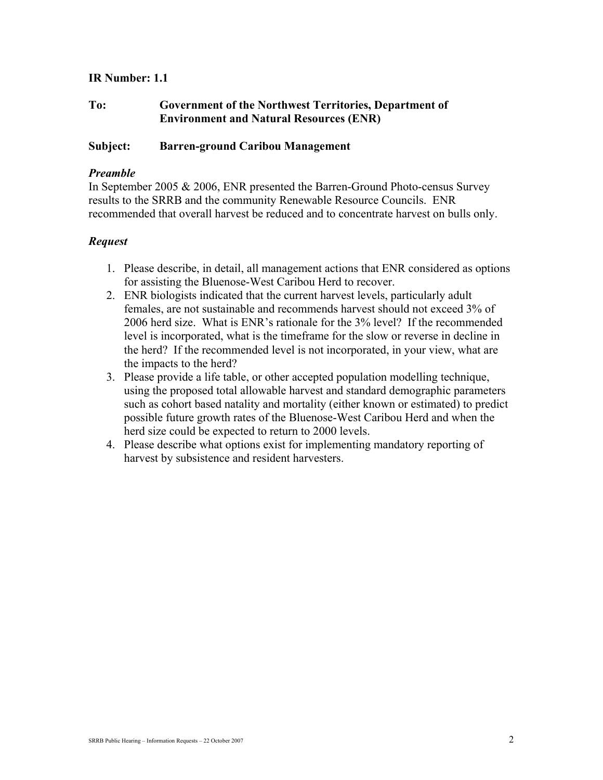# **IR Number: 1.1**

# **To: Government of the Northwest Territories, Department of Environment and Natural Resources (ENR)**

## **Subject: Barren-ground Caribou Management**

## *Preamble*

In September 2005 & 2006, ENR presented the Barren-Ground Photo-census Survey results to the SRRB and the community Renewable Resource Councils. ENR recommended that overall harvest be reduced and to concentrate harvest on bulls only.

## *Request*

- 1. Please describe, in detail, all management actions that ENR considered as options for assisting the Bluenose-West Caribou Herd to recover.
- 2. ENR biologists indicated that the current harvest levels, particularly adult females, are not sustainable and recommends harvest should not exceed 3% of 2006 herd size. What is ENR's rationale for the 3% level? If the recommended level is incorporated, what is the timeframe for the slow or reverse in decline in the herd? If the recommended level is not incorporated, in your view, what are the impacts to the herd?
- 3. Please provide a life table, or other accepted population modelling technique, using the proposed total allowable harvest and standard demographic parameters such as cohort based natality and mortality (either known or estimated) to predict possible future growth rates of the Bluenose-West Caribou Herd and when the herd size could be expected to return to 2000 levels.
- 4. Please describe what options exist for implementing mandatory reporting of harvest by subsistence and resident harvesters.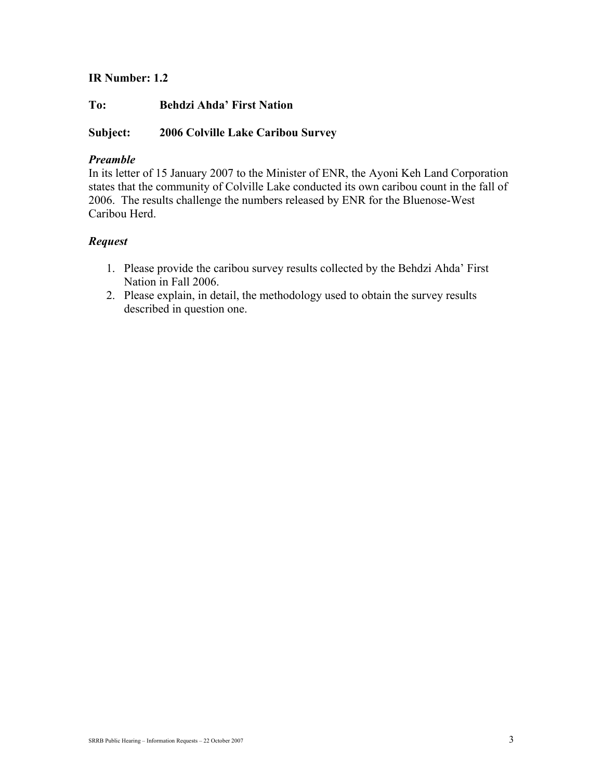# **IR Number: 1.2**

**To: Behdzi Ahda' First Nation** 

# **Subject: 2006 Colville Lake Caribou Survey**

## *Preamble*

In its letter of 15 January 2007 to the Minister of ENR, the Ayoni Keh Land Corporation states that the community of Colville Lake conducted its own caribou count in the fall of 2006. The results challenge the numbers released by ENR for the Bluenose-West Caribou Herd.

## *Request*

- 1. Please provide the caribou survey results collected by the Behdzi Ahda' First Nation in Fall 2006.
- 2. Please explain, in detail, the methodology used to obtain the survey results described in question one.